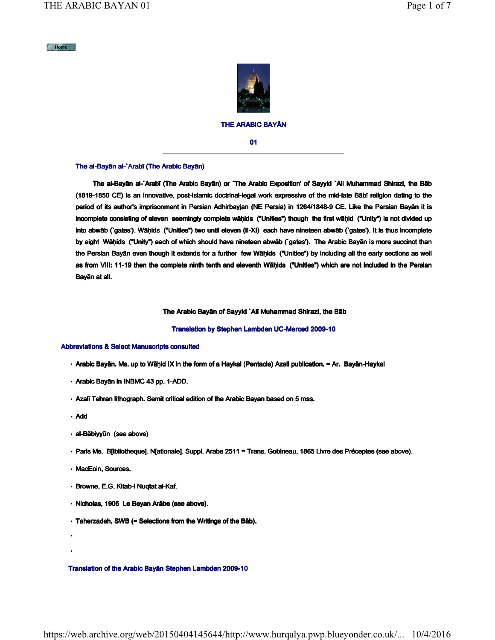#### $M$  Home



# THE ARABIC BAYĀN

01

#### The al-Bayān al-`Arabī (The Arabic Bayān)

 The al-Bayān al-`Arabī (The Arabic Bayān) or `The Arabic Exposition' of Sayyid `Ali Muhammad Shirazi, the Bāb (1819-1850 CE) is an innovative, post-Islamic doctrinal-legal work expressive of the mid-late Bābī religion dating to the period of its author's imprisonment in Persian Adhirbayjan (NE Persia) in 1264/1848-9 CE. Like the Persian Bayān it is incomplete consisting of eleven seemingly complete wāḥids ("Unities") though the first wāḥid ("Unity") is not divided up into abwāb (`gates'). Wāḥids ("Unities") two until eleven (II-XI) each have nineteen abwāb (`gates'). It is thus incomplete by eight Wāḥids ("Unity") each of which should have nineteen abwāb (`gates'). The Arabic Bayān is more succinct than the Persian Bayān even though it extends for a further few Wāḥids ("Unities") by including all the early sections as well as from VIII: 11-19 then the complete ninth tenth and eleventh Wāḥids ("Unities") which are not included in the Persian Bayān at all.

### The Arabic Bayān of Sayyid `Alī Muhammad Shirazi, the Bāb

## Translation by Stephen Lambden UC-Merced 2009-10

## Abbreviations & Select Manuscripts consulted

- Arabic Bayān. Ms. up to Wāḥid IX in the form of a Haykal (Pentacle) Azali publication. = Ar. Bayān-Haykal
- Arabic Bayān in INBMC 43 pp. 1-ADD.
- Azalī Tehran lithograph. Semit critical edition of the Arabic Bayan based on 5 mss.
- Add

• •

- al-Bābiyyūn (see above)
- Paris Ms. B[ibliotheque]. N[ationale]. Suppl. Arabe 2511 = Trans. Gobineau, 1865 Livre des Préceptes (see above).
- MacEoin, Sources.
- Browne, E.G. Kitab-i Nuqtat al-Kaf.
- Nicholas, 1905 Le Beyan Arâbe (see above).
- Taherzadeh, SWB (= Selections from the Writings of the Bāb).

#### Translation of the Arabic Bayān Stephen Lambden 2009-10

https://web.archive.org/web/20150404145644/http://www.hurqalya.pwp.blueyonder.co.uk/... 10/4/2016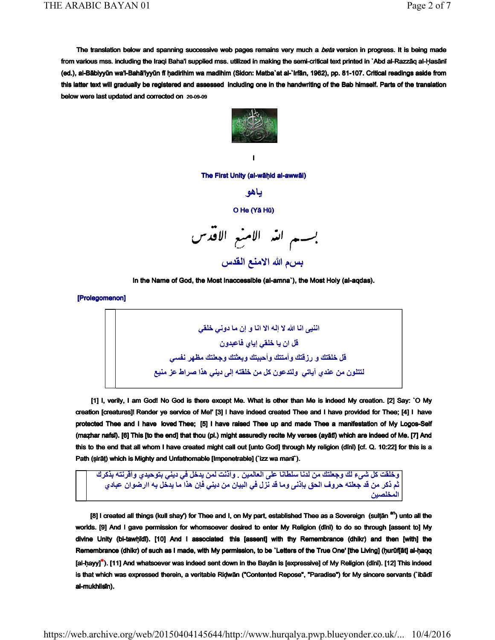The translation below and spanning successive web pages remains very much a beta version in progress. It is being made from various mss. including the Iraqi Baha'i supplied mss. utilized in making the semi-critical text printed in `Abd al-Razzāq al-Ḥasānī (ed.), al-Bābiyyūn wa'l-Bahā'iyyūn fī ḥadirihim wa madihim (Sidon: Matba`at al-`Irfān, 1962), pp. 81-107. Critical readings aside from this latter text will gradually be registered and assessed including one in the handwriting of the Bab himself. Parts of the translation below were last updated and corrected on 20-09-09



I

The First Unity (al-wāḥid al-awwāl)

باهو

# O He (Yā Hū)



In the Name of God, the Most Inaccessible (al-amna`), the Most Holy (al-aqdas).

[Prolegomenon]

اننيه انا الله لا إله الا انا و إن ما دونى خلقى قل ان يا خلقى إياي فاعبدون قل خلقتك و رزقتك و أمتتك و أحببتك و يعثتك وجعلتك مظهر نفسي لتتلون من عندي آياتي ولتدعون كل من خلقته إلى ديني هذا صراط عز منيع

 [1] I, verily, I am God! No God is there except Me. What is other than Me is indeed My creation. [2] Say: `O My creation [creatures]! Render ye service of Me!' [3] I have indeed created Thee and I have provided for Thee; [4] I have protected Thee and I have loved Thee; [5] I have raised Thee up and made Thee a manifestation of My Logos-Self (maẓhar nafsī). [6] This [to the end] that thou (pl.) might assuredly recite My verses (ayātī) which are indeed of Me. [7] And this to the end that all whom I have created might call out [unto God] through My religion (dīnī) [cf. Q. 10:22] for this is a Path (ṣirāṭ) which is Mighty and Unfathomable [Impenetrable] (`izz wa manī`).

وخلقت كل شيء لك وجعلتك من لدنا سلطانا على العالمين . وأننت لمن يدخل في ديني بتوحيدي وأقرنته بذكرك ثم ذكر من قد جعلته حروف الحق بإذني وما قد نزل في البيان من ديني فإن هذا ما يدخل به اارضوان عبادي المخلصين

[8] I created all things (kull shay') for Thee and I, on My part, established Thee as a Sovereign (sulțăn <sup>an</sup>) unto all the worlds. [9] And I gave permission for whomsoever desired to enter My Religion (dīnī) to do so through [assent to] My divine Unity (bi-tawḥīdī). [10] And I associated this [assent] with thy Remembrance (dhikr) and then [with] the Remembrance (dhikr) of such as I made, with My permission, to be `Letters of the True One' [the Living] (ḥurūf[āt] al-ḥaqq [al-hayy]\*). [11] And whatsoever was indeed sent down in the Bayān is [expressive] of My Religion (dīnī). [12] This indeed is that which was expressed therein, a veritable Ridwān ("Contented Repose", "Paradise") for My sincere servants (`ibādī al-mukhlisīn).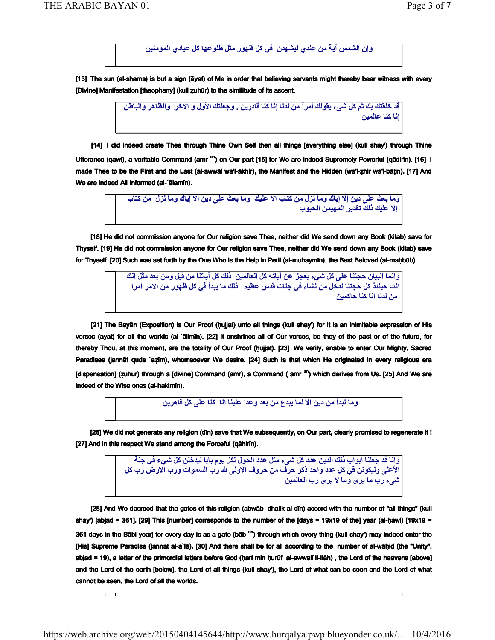We are indeed All Informed (al-`ālamīn).

 $\overline{a}$ 

وإن الشمس آية من عندي ليشهدن في كل ظهور مثل طلوعها كل عبادي المؤمنين

[13] The sun (al-shams) is but a sign (āyat) of Me in order that believing servants might thereby bear witness with every [Divine] Manifestation [theophany] (kull zuhūr) to the similitude of its ascent.

> قد خلقتك بك ثم كل شيء بقولك أمرآ من لدنا إنا كنا قادرين . وجعلتك الأول و الاخر والظاهر والباطن أنا كنا عالمين

 [14] I did indeed create Thee through Thine Own Self then all things [everything else] (kull shay') through Thine Utterance (qawl), a veritable Command (amr <sup>an</sup>) on Our part [15] for We are indeed Supremely Powerful (qādirīn). [16] I made Thee to be the First and the Last (al-awwāl wa'l-ākhir), the Manifest and the Hidden (wa'l-ẓhir wa'l-bāṭin). [17] And

> وما بعث على دين إلا إياك وما نزل من كتاب الا عليك وما بعث على دين إلا إياك وما نزل من كتاب الا عليك ذلك تقدير المهيمن الحيوب

 [18] He did not commission anyone for Our religion save Thee, neither did We send down any Book (kitab) save for Thyself. [19] He did not commission anyone for Our religion save Thee, neither did We send down any Book (kitab) save for Thyself. [20] Such was set forth by the One Who is the Help in Peril (al-muhaymīn), the Best Beloved (al-mahbūb).

> وانما البيان حجتنا على كل شيء بعجز عن آياته كل العالمين ذلك كل آياتنا من قبل ومن بعد مثل انك .<br>انت حيننذ كل حجتنا ندخل من نشاء في جنات قدس عظيم "ذلك ما يبدأ في كل ظهور من الامر امرا من لدنا انا كنا حاكمين

 [21] The Bayān (Exposition) is Our Proof (ḥujjat) unto all things (kull shay') for it is an inimitable expression of His verses (ayat) for all the worlds (al-`ālimīn). [22] It enshrines all of Our verses, be they of the past or of the future, for thereby Thou, at this moment, are the totality of Our Proof (ḥujjat). [23] We verily, enable to enter Our Mighty, Sacred Paradises (jannāt quds `azīm), whomsoever We desire. [24] Such is that which He originated in every religious era [dispensation] (zuhūr) through a [divine] Command (amr), a Command ( amr <sup>an</sup>) which derives from Us. [25] And We are indeed of the Wise ones (al-hakimīn).

وما نبدأ من دين الا لما يبدع من بعد وعدا علينا انا كنا على كل قاهرين

[26] We did not generate any religion (din) save that We subsequently, on Our part, clearly promised to regenerate it ! [27] And in this respect We stand among the Forceful (qāhirīn).

> وانـا قد جعلنـا ابواب ذلك الدين عدد كل شيء مثل عدد الـحول لكل يوم بـابـا ليدخلن كل ش*ي*ء في جنـة الأعلى وليكونن في كل عدد واحد ذكر حرف من حروف الاولى لله رب السموات ورب الارض رب كل شىء رب ما يرى وما لا يرى رب العالمين

 [28] And We decreed that the gates of this religion (abwāb dhalik al-dīn) accord with the number of "all things" (kull shay') [abjad = 361]. [29] This [number] corresponds to the number of the [days = 19x19 of the] year (al-ḥawl) [19x19 = 361 days in the Bābi year] for every day is as a gate (bāb <sup>an</sup>) through which every thing (kull shay') may indeed enter the [His] Supreme Paradise (jannat al-a`lā). [30] And there shall be for all according to the number of al-wāhid (the "Unity", abjad = 19), a letter of the primordial letters before God (harf min ḥurūf al-awwalī li-llâh), the Lord of the heavens [above] and the Lord of the earth [below], the Lord of all things (kull shay'), the Lord of what can be seen and the Lord of what cannot be seen, the Lord of all the worlds.

https://web.archive.org/web/20150404145644/http://www.hurqalya.pwp.blueyonder.co.uk/... 10/4/2016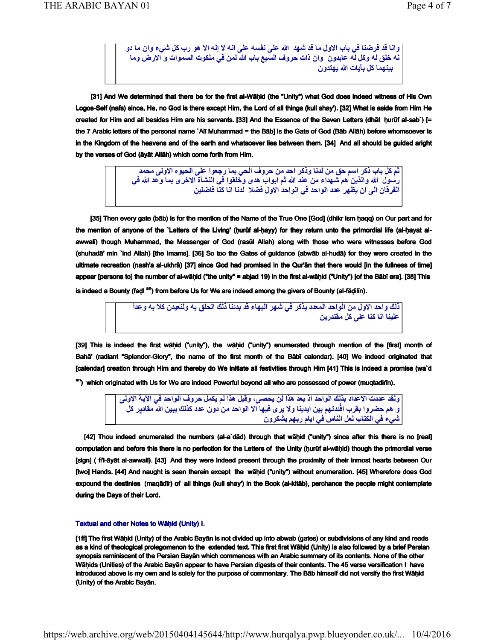وانا قد فرضنا في باب الاول ما قد شهد الله على نفسه على انه لا إله الا هو رب كل شيء وان ما دو نه خلق له وكل له عابدون وان ذات حروف السبع باب الله لمن في ملكوت السموات و الارض وما بينهما كل بآبات الله بهتدو ن

 [31] And We determined that there be for the first al-Wāḥid (the "Unity") what God does indeed witness of His Own Logos-Self (nafs) since, He, no God is there except Him, the Lord of all things (kull shay'). [32] What is aside from Him He created for Him and all besides Him are his servants. [33] And the Essence of the Seven Letters (dhāt ḥurūf al-sab`) [= the 7 Arabic letters of the personal name `Alī Muhammad = the Bāb] is the Gate of God (Bāb Allāh) before whomsoever is in the Kingdom of the heavens and of the earth and whatsoever lies between them. [34] And all should be guided aright by the verses of God (āyāt Allāh) which come forth from Him.

> خم كل باب ذكر اسم حق من لدنا وذكر احد من حروف الحي بما رجعوا على الحيوه الاولى محمد رسول الله والذين هم شهداء من عند الله ثم ابواب هدى وخلقوا فى النشأة الاخرى بما وحد الله فى الفرقان الى أن يظهر عدد الواحد في الواحد الأول فضلا لدنا انا كنا فاضلين

 [35] Then every gate (bāb) is for the mention of the Name of the True One [God] (dhikr ism ḥaqq) on Our part and for the mention of anyone of the `Letters of the Living' (ḥurūf al-ḥayy) for they return unto the primordial life (al-ḥayat alawwalī) though Muhammad, the Messenger of God (rasūl Allah) along with those who were witnesses before God (shuhadā' min `ind Allah) [the Imams]. [36] So too the Gates of guidance (abwāb al-hudā) for they were created in the ultimate recreation (nash'a al-ukhrā) [37] since God had promised in the Qur'ān that there would [in the fullness of time] appear [persons to] the number of al-wāḥid ("the unity" = abjad 19) in the first al-wāḥid ("Unity") [of the Bābī era]. [38] This

is indeed a Bounty (faḍl <sup>an</sup>) from before Us for We are indeed among the givers of Bounty (al-fāḍilīn).

ذلك واحد الاول من الواحد المعدد يذكر في شهر البهاء قد بدئنا ذلك الحلق به ولنعيدن كلا به وحداً علينا انا كنا على كل مقتدر بن

[39] This is indeed the first wāhid ("unity"), the wāhid ("unity") enumerated through mention of the [first] month of Bahā' (radiant "Splendor-Glory", the name of the first month of the Bābī calendar). [40] We indeed originated that [calendar] creation through Him and thereby do We initiate all festivities through Him [41] This is indeed a promise (wa`d

an) which originated with Us for We are indeed Powerful beyond all who are possessed of power (muqtadirīn).

ولقد عددت الاعداد بذلك الواحد اذ بعد هذا لن يحصى، وقبل هذا لم يكمل حروف الواحد في الآية الاولى و هم حضروا بقرب افْندتهم بين ايدينا ولا يرى فيها الا الواحد من دون عدد كذلك يبين الله مقادير كل شيء في الكتاب لعل الناس في ايام ريهم يشكرون

 [42] Thou indeed enumerated the numbers (al-a`dād) through that wāḥid ("unity") since after this there is no [real] computation and before this there is no perfection for the Letters of the Unity (hurūf al-wāhid) though the primordial verse [sign] ( fi'l-āyāt al-awwalī). [43] And they were indeed present through the proximity of their inmost hearts between Our [two] Hands. [44] And naught is seen therein except the wāḥid ("unity") without enumeration. [45] Wherefore does God expound the destinies (maqādīr) of all things (kull shay') in the Book (al-kitāb), perchance the people might contemplate during the Days of their Lord.

#### Textual and other Notes to Wāhid (Unity) I.

[1ff] The first Wāhid (Unity) of the Arabic Bayān is not divided up into abwab (gates) or subdivisions of any kind and reads as a kind of theological prolegomenon to the extended text. This first first Wāḥid (Unity) is also followed by a brief Persian synopsis reminiscent of the Persian Bayān which commences with an Arabic summary of its contents. None of the other Wāḥids (Unities) of the Arabic Bayān appear to have Persian digests of their contents. The 45 verse versification I have introduced above is my own and is solely for the purpose of commentary. The Bāb himself did not versify the first Wāḥid (Unity) of the Arabic Bayān.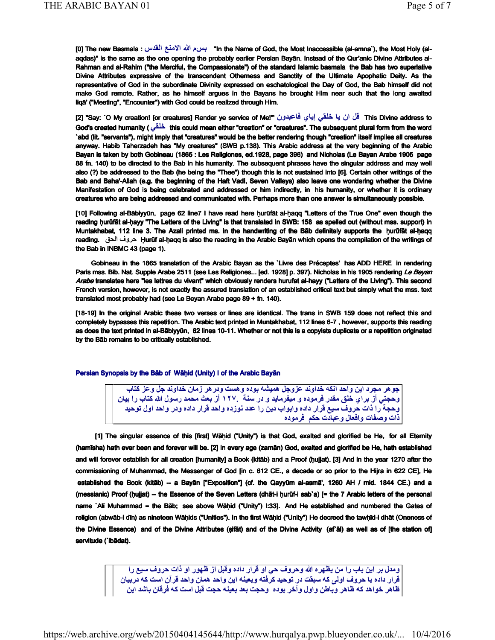[0] The new Basmala : القدس الامنع الله بسم" In the Name of God, the Most Inaccessible (al-amna`), the Most Holy (alaqdas)" is the same as the one opening the probably earlier Persian Bayān. Instead of the Qur'anic Divine Attributes al-Rahman and al-Rahim ("the Merciful, the Compassionate") of the standard Islamic basmala the Bab has two superlative Divine Attributes expressive of the transcendent Otherness and Sanctity of the Ultimate Apophatic Deity. As the representative of God in the subordinate Divinity expressed on eschatological the Day of God, the Bab himself did not make God remote. Rather, as he himself argues in the Bayans he brought Him near such that the long awaited liqā' ("Meeting", "Encounter") with God could be realized through Him.

[2] "Say: `O My creation! [or creatures] Render ye service of Me!'" فَال ان يا خَلْقي إياي فاعبدون "[2] Alis Divine address to God's created humanity ( خُلْقَى this could mean either "creation" or "creatures". The subsequent plural form from the word `abd (lit. "servants"), might imply that "creatures" would be the better rendering though "creation" itself implies all creatures anyway. Habib Taherzadeh has "My creatures" (SWB p.138). This Arabic address at the very beginning of the Arabic Bayan is taken by both Gobineau (1865 : Les Religiones, ed.1928, page 396) and Nicholas (Le Bayan Arabe 1905 page 88 fn. 140) to be directed to the Bab in his humanity. The subsequent phrases have the singular address and may well also (?) be addressed to the Bab (he being the "Thee") though this is not sustained into [6]. Certain other writings of the Bab and Baha'-Allah (e.g. the beginning of the Haft Vadi, Seven Valleys) also leave one wondering whether the Divine Manifestation of God is being celebrated and addressed or him indirectly, in his humanity, or whether it is ordinary creatures who are being addressed and communicated with. Perhaps more than one answer is simultaneously possible.

[10] Following al-Bābiyyūn, page 62 line7 I have read here ḥurūfāt al-ḥaqq "Letters of the True One" even though the reading ḥurūfāt al-ḥayy "The Letters of the Living" is that translated in SWB: 158 as spelled out (without mss. support) in Muntakhabat, 112 line 3. The Azali printed ms. in the handwriting of the Bāb definitely supports the ḥurūfāt al-ḥaqq reading. حروف الحق Ḥurūf al-ḥaqq is also the reading in the Arabic Bayān which opens the compilation of the writings of the Bab in INBMC 43 (page 1).

 Gobineau in the 1865 translation of the Arabic Bayan as the `Livre des Préceptes' has ADD HERE in rendering Paris mss. Bib. Nat. Supple Arabe 2511 (see Les Religiones... [ed. 1928] p. 397). Nicholas in his 1905 rendering Le Beyan Arabe translates here "les lettres du vivant" which obviously renders hurufat al-hayy ("Letters of the Living"). This second French version, however, is not exactly the assured translation of an established critical text but simply what the mss. text translated most probably had (see Le Beyan Arabe page 89 + fn. 140).

[18-19] In the original Arabic these two verses or lines are identical. The trans in SWB 159 does not reflect this and completely bypasses this repetition. The Arabic text printed in Muntakhabat, 112 lines 6-7 , however, supports this reading as does the text printed in al-Bābiyyūn, 62 lines 10-11. Whether or not this is a copyists duplicate or a repetition originated by the Bāb remains to be critically established.

#### Persian Synopsis by the Bāb of Wāḥid (Unity) I of the Arabic Bayān

جوهر مجرد اين واحد انكه خداوند عزوجل هميشه بوده وهست ودرهر زمان خداوند جل وعز كتاب وحجتي أز براي خلق مقدر فرموده و ميفرمايد و در سنة ١٢٧. أز بعث محمد رسول الله كتاب را بيان وحجة ّرا ذات حروف سيع قرار داده وابواب دين را عدد نوزده واحد قرار داده ودر واحد اول توحيد ذات وصفات وافعال وعبادت حكم فرموده

 [1] The singular essence of this [first] Wāḥid ("Unity") is that God, exalted and glorified be He, for all Eternity (hamīsha) hath ever been and forever will be. [2] In every age (zamān) God, exalted and glorified be He, hath established and will forever establish for all creation [humanity] a Book (kitāb) and a Proof (hujjat). [3] And in the year 1270 after the commissioning of Muhammad, the Messenger of God [in c. 612 CE., a decade or so prior to the Hijra in 622 CE], He established the Book (kitāb) -- a Bayān ["Exposition"] (cf. the Qayyūm al-asmā', 1260 AH / mid. 1844 CE.) and a (messianic) Proof (ḥujjat) -- the Essence of the Seven Letters (dhāt-i ḥurūf-i sab`a) [= the 7 Arabic letters of the personal name `Alī Muhammad = the Bāb; see above Wāḥid ("Unity") I:33]. And He established and numbered the Gates of religion (abwāb-i dīn) as nineteen Wāḥids ("Unities"). In the first Wāḥid ("Unity") He decreed the tawḥīd-i dhāt (Oneness of the Divine Essence) and of the Divine Attributes (ṣifāt) and of the Divine Activity (af`āl) as well as of [the station of] servitude (`ibādat).

> ومدل بر اين باب را من يظهره الله وحروف حي او قرار داده وقبل از ظهور او ذات حروف سيع را قرار داده با حروف اولى كه سبقت در توحيد كرفته وبعينه اين واحد همان واحد قرآن است كه دربيان طاهر خواهد كه ظاهر وباطن واول وآخر بوده وحجت بعد بعينه حجت قبل است كه فرقان باشد اين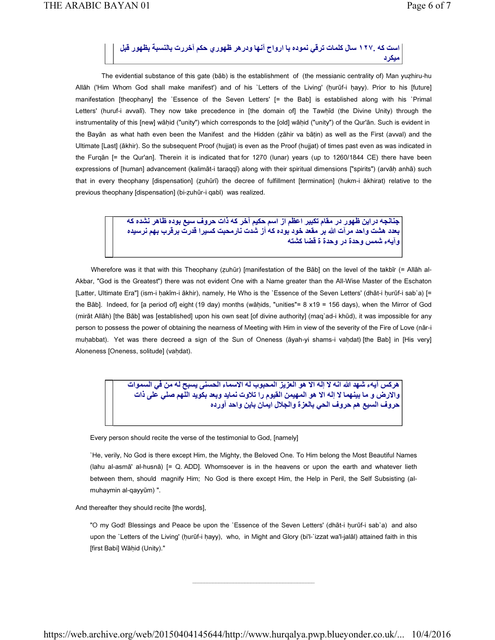است كه ١٢٧. سال كلمات ترقي نموده با ارواح آنها ودرهر ظهوري حكم آخررت بالنسبة بظهور قبل ميكرد

 The evidential substance of this gate (bāb) is the establishment of (the messianic centrality of) Man yuẓhiru-hu Allāh ('Him Whom God shall make manifest') and of his `Letters of the Living' (hurūf-i hayy). Prior to his [future] manifestation [theophany] the `Essence of the Seven Letters' [= the Bab] is established along with his `Primal Letters' (huruf-i avvalī). They now take precedence in [the domain of] the Tawhīd (the Divine Unity) through the instrumentality of this [new] wāḥid ("unity") which corresponds to the [old] wāḥid ("unity") of the Qur'ān. Such is evident in the Bayān as what hath even been the Manifest and the Hidden (ẓāhir va bāṭin) as well as the First (avval) and the Ultimate [Last] (ākhir). So the subsequent Proof (hujjat) is even as the Proof (hujjat) of times past even as was indicated in the Furqān [= the Qur'an]. Therein it is indicated that for 1270 (lunar) years (up to 1260/1844 CE) there have been expressions of [human] advancement (kalimāt-i taraqqī) along with their spiritual dimensions ["spirits") (arvāḥ anhā) such that in every theophany [dispensation] (ẓuhūrī) the decree of fulfillment [termination] (hukm-i ākhirat) relative to the previous theophany [dispensation] (bi-ẓuhūr-i qabl) was realized.

> جنانجه دراين ظهور در مقام تكبير اعظم از اسم حكيم آخر كه ذات حروف سيع بوده ظاهر نشده كه بعدد هشت واحد مرآت الله بر مقعد خود بوده كه أز شدت نارمحبت كسيرا قدرت برقرب بهم نرسيده وآيهء شمس وحدة در وحدة ة قضا كشته

 Wherefore was it that with this Theophany (ẓuhūr) [manifestation of the Bāb] on the level of the takbīr (= Allāh al-Akbar, "God is the Greatest") there was not evident One with a Name greater than the All-Wise Master of the Eschaton [Latter, Ultimate Era"] (ism-i ḥakīm-i ākhir), namely, He Who is the `Essence of the Seven Letters' (dhāt-i ḥurūf-i sab`a) [= the Bāb]. Indeed, for [a period of] eight (19 day) months (wāḥids, "unities"= 8 x19 = 156 days), when the Mirror of God (mirāt Allāh) [the Bāb] was [established] upon his own seat [of divine authority] (maq`ad-i khūd), it was impossible for any person to possess the power of obtaining the nearness of Meeting with Him in view of the severity of the Fire of Love (nār-i muhabbat). Yet was there decreed a sign of the Sun of Oneness (āyah-yi shams-i vahdat) [the Bab] in [His very] Aloneness [Oneness, solitude] (vaḥdat).

> هركس آيهء شهد الله انه لا إله الا هو العزيز المحبوب له الاسماء الحسني يسبح له من في السموات والارض و ما بينهما لا إله الا هو المهيمن القيوم را تلاوت نمايد وبعد بكويد اللهم صلى على ذات حروف السيع هم حروف الحي بالعزة والجلال ايمان باين واحد آورده

Every person should recite the verse of the testimonial to God, [namely]

`He, verily, No God is there except Him, the Mighty, the Beloved One. To Him belong the Most Beautiful Names (lahu al-asmā' al-husnā) [= Q. ADD]. Whomsoever is in the heavens or upon the earth and whatever lieth between them, should magnify Him; No God is there except Him, the Help in Peril, the Self Subsisting (almuhaymin al-qayyūm) ".

And thereafter they should recite [the words],

"O my God! Blessings and Peace be upon the `Essence of the Seven Letters' (dhāt-i ḥurūf-i sab`a) and also upon the `Letters of the Living' (ḥurūf-i ḥayy), who, in Might and Glory (bi'l-`izzat wa'l-jalāl) attained faith in this [first Babi] Wāhid (Unity)."

 $\overline{\phantom{a}}$  , and the set of the set of the set of the set of the set of the set of the set of the set of the set of the set of the set of the set of the set of the set of the set of the set of the set of the set of the s